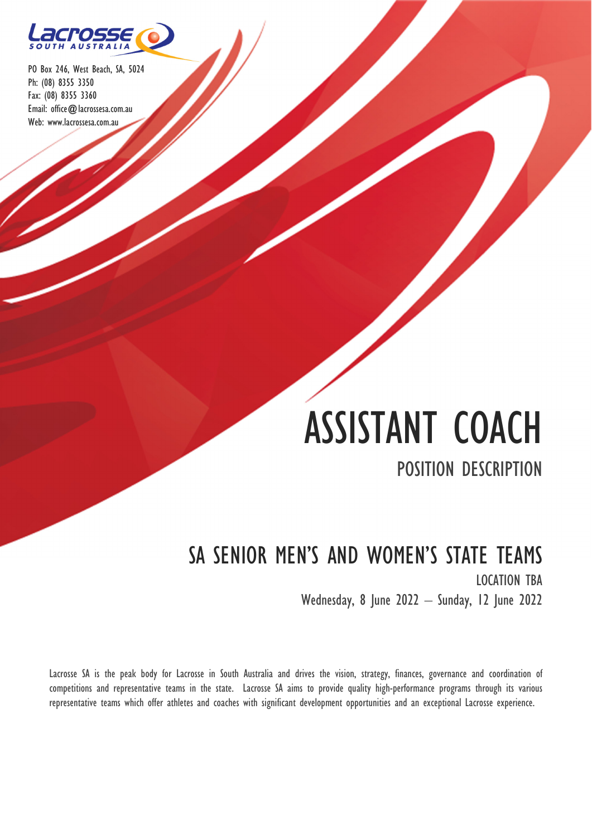

# ASSISTANT COACH

# POSITION DESCRIPTION

# SA SENIOR MEN'S AND WOMEN'S STATE TEAMS LOCATION TBA Wednesday, 8 June 2022 – Sunday, 12 June 2022

Lacrosse SA is the peak body for Lacrosse in South Australia and drives the vision, strategy, finances, governance and coordination of competitions and representative teams in the state. Lacrosse SA aims to provide quality high-performance programs through its various representative teams which offer athletes and coaches with significant development opportunities and an exceptional Lacrosse experience.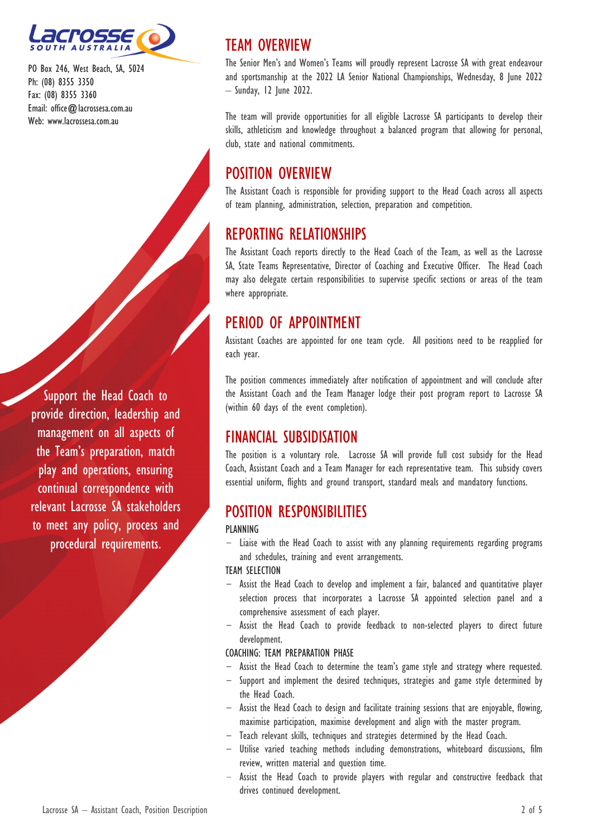

Support the Head Coach to provide direction, leadership and management on all aspects of the Team's preparation, match play and operations, ensuring continual correspondence with relevant Lacrosse SA stakeholders to meet any policy, process and procedural requirements.

# TEAM OVERVIEW

The Senior Men's and Women's Teams will proudly represent Lacrosse SA with great endeavour and sportsmanship at the 2022 LA Senior National Championships, Wednesday, 8 June 2022 – Sunday, 12 June 2022.

The team will provide opportunities for all eligible Lacrosse SA participants to develop their skills, athleticism and knowledge throughout a balanced program that allowing for personal, club, state and national commitments.

# POSITION OVERVIEW

The Assistant Coach is responsible for providing support to the Head Coach across all aspects of team planning, administration, selection, preparation and competition.

## REPORTING RELATIONSHIPS

The Assistant Coach reports directly to the Head Coach of the Team, as well as the Lacrosse SA, State Teams Representative, Director of Coaching and Executive Officer. The Head Coach may also delegate certain responsibilities to supervise specific sections or areas of the team where appropriate.

# PERIOD OF APPOINTMENT

Assistant Coaches are appointed for one team cycle. All positions need to be reapplied for each year.

The position commences immediately after notification of appointment and will conclude after the Assistant Coach and the Team Manager lodge their post program report to Lacrosse SA (within 60 days of the event completion).

## FINANCIAL SUBSIDISATION

The position is a voluntary role. Lacrosse SA will provide full cost subsidy for the Head Coach, Assistant Coach and a Team Manager for each representative team. This subsidy covers essential uniform, flights and ground transport, standard meals and mandatory functions.

## POSITION RESPONSIBILITIES

## **PLANNING**

Liaise with the Head Coach to assist with any planning requirements regarding programs and schedules, training and event arrangements.

## TEAM SELECTION

- Assist the Head Coach to develop and implement a fair, balanced and quantitative player selection process that incorporates a Lacrosse SA appointed selection panel and a comprehensive assessment of each player.
- Assist the Head Coach to provide feedback to non-selected players to direct future development.

## COACHING: TEAM PREPARATION PHASE

- Assist the Head Coach to determine the team's game style and strategy where requested.
- Support and implement the desired techniques, strategies and game style determined by the Head Coach.
- Assist the Head Coach to design and facilitate training sessions that are enjoyable, flowing, maximise participation, maximise development and align with the master program.
- Teach relevant skills, techniques and strategies determined by the Head Coach.
- Utilise varied teaching methods including demonstrations, whiteboard discussions, film review, written material and question time.
- Assist the Head Coach to provide players with regular and constructive feedback that drives continued development.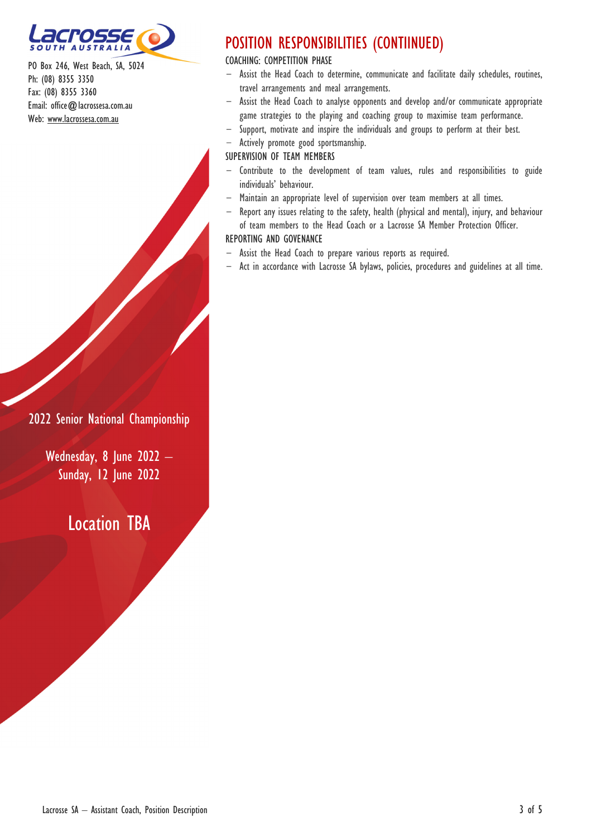

# POSITION RESPONSIBILITIES (CONTIINUED)

COACHING: COMPETITION PHASE

- Assist the Head Coach to determine, communicate and facilitate daily schedules, routines, travel arrangements and meal arrangements.
- Assist the Head Coach to analyse opponents and develop and/or communicate appropriate game strategies to the playing and coaching group to maximise team performance.
- Support, motivate and inspire the individuals and groups to perform at their best.
- Actively promote good sportsmanship.

SUPERVISION OF TEAM MEMBERS

- Contribute to the development of team values, rules and responsibilities to guide individuals' behaviour.
- Maintain an appropriate level of supervision over team members at all times.
- Report any issues relating to the safety, health (physical and mental), injury, and behaviour of team members to the Head Coach or a Lacrosse SA Member Protection Officer.

#### REPORTING AND GOVENANCE

- Assist the Head Coach to prepare various reports as required.
- Act in accordance with Lacrosse SA bylaws, policies, procedures and guidelines at all time.

2022 Senior National Championship

Wednesday, 8 June 2022 – **Sunday, 12 June 2022** 

Location TBA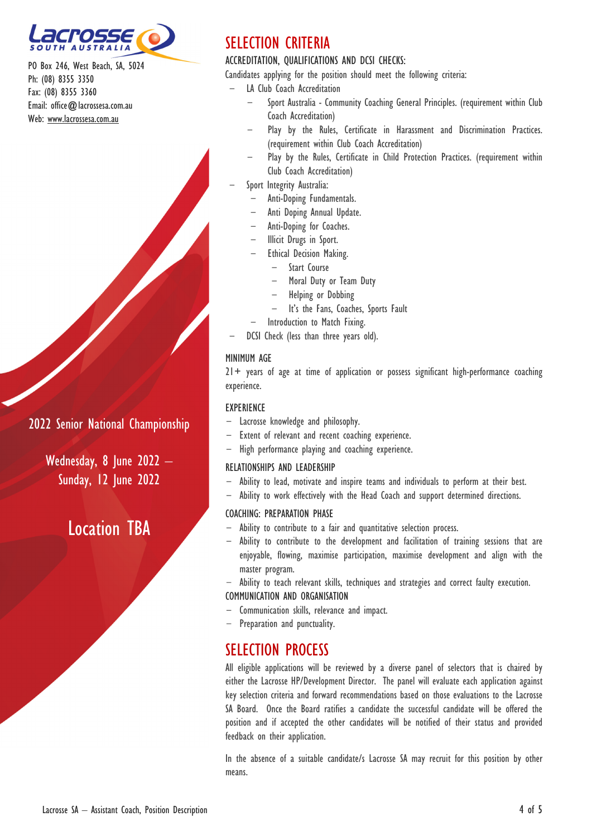

## 2022 Senior National Championship

Wednesday, 8 June 2022 – **Sunday, 12 June 2022** 

# Location TBA

# SELECTION CRITERIA

### ACCREDITATION, QUALIFICATIONS AND DCSI CHECKS:

Candidates applying for the position should meet the following criteria:

- LA Club Coach Accreditation
	- Sport Australia Community Coaching General Principles. (requirement within Club Coach Accreditation)
	- Play by the Rules, Certificate in Harassment and Discrimination Practices. (requirement within Club Coach Accreditation)
	- Play by the Rules, Certificate in Child Protection Practices. (requirement within Club Coach Accreditation)
- Sport Integrity Australia:
	- Anti-Doping Fundamentals.
	- Anti Doping Annual Update.
	- Anti-Doping for Coaches.
	- Illicit Drugs in Sport.
	- Ethical Decision Making.
		- Start Course
		- Moral Duty or Team Duty
		- Helping or Dobbing
		- It's the Fans, Coaches, Sports Fault
	- Introduction to Match Fixing.
- DCSI Check (less than three years old).

#### MINIMUM AGE

 $21+$  years of age at time of application or possess significant high-performance coaching experience.

#### EXPERIENCE

- Lacrosse knowledge and philosophy.
- Extent of relevant and recent coaching experience.
- High performance playing and coaching experience.

#### RELATIONSHIPS AND LEADERSHIP

- Ability to lead, motivate and inspire teams and individuals to perform at their best.
- Ability to work effectively with the Head Coach and support determined directions.

#### COACHING: PREPARATION PHASE

- Ability to contribute to a fair and quantitative selection process.
- Ability to contribute to the development and facilitation of training sessions that are enjoyable, flowing, maximise participation, maximise development and align with the master program.
- Ability to teach relevant skills, techniques and strategies and correct faulty execution. COMMUNICATION AND ORGANISATION
- Communication skills, relevance and impact.
- Preparation and punctuality.

# SELECTION PROCESS

All eligible applications will be reviewed by a diverse panel of selectors that is chaired by either the Lacrosse HP/Development Director. The panel will evaluate each application against key selection criteria and forward recommendations based on those evaluations to the Lacrosse SA Board. Once the Board ratifies a candidate the successful candidate will be offered the position and if accepted the other candidates will be notified of their status and provided feedback on their application.

In the absence of a suitable candidate/s Lacrosse SA may recruit for this position by other means.